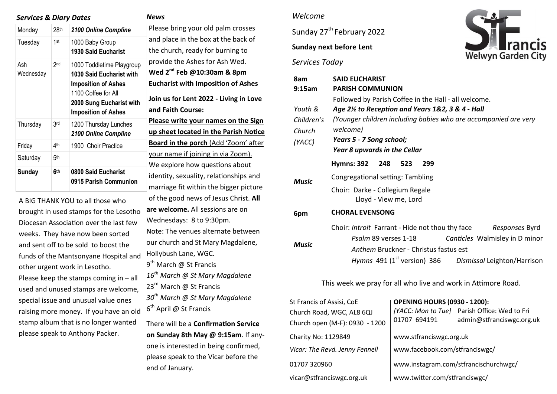### *Services & Diary Dates*

#### *News*

| Monday           | $28$ th         | 2100 Online Compline                                                                                                                                                        | P                      |  |
|------------------|-----------------|-----------------------------------------------------------------------------------------------------------------------------------------------------------------------------|------------------------|--|
| Tuesday          | 1st             | 1000 Baby Group<br><b>1930 Said Eucharist</b>                                                                                                                               | a<br>tł                |  |
| Ash<br>Wednesday | 2 <sub>nd</sub> | 1000 Toddletime Playgroup<br><b>1030 Said Eucharist with</b><br><b>Imposition of Ashes</b><br>1100 Coffee for All<br>2000 Sung Eucharist with<br><b>Imposition of Ashes</b> | р<br>N<br>Е<br>Jo<br>a |  |
| Thursday         | 3rd             | 1200 Thursday Lunches<br>2100 Online Compline                                                                                                                               | <u>P</u><br><u>ប</u>   |  |
| Friday           | 4 <sup>th</sup> | 1900 Choir Practice                                                                                                                                                         | <u>B</u>               |  |
| Saturday         | 5 <sup>th</sup> |                                                                                                                                                                             | <u>y</u><br>N          |  |
| Sunday           | 6 <sup>th</sup> | 0800 Said Eucharist<br>0915 Parish Communion                                                                                                                                | ic<br>m                |  |
|                  |                 |                                                                                                                                                                             |                        |  |

A BIG THANK YOU to all those who brought in used stamps for the Lesotho Diocesan Association over the last few weeks. They have now been sorted and sent off to be sold to boost the funds of the Mantsonyane Hospital and other urgent work in Lesotho. Please keep the stamps coming in – all used and unused stamps are welcome, special issue and unusual value ones raising more money. If you have an old stamp album that is no longer wanted please speak to Anthony Packer.

lease bring your old palm crosses and place in the box at the back of he church, ready for burning to provide the Ashes for Ash Wed. **Wed 2nd Feb @10:30am & 8pm Eucharist with Imposition of Ashes Join us for Lent 2022 - Living in Love and Faith Course: Please write your names on the Sign up sheet located in the Parish Notice Board in the porch** (Add 'Zoom' after our name if joining in via Zoom). We explore how questions about dentity, sexuality, relationships and marriage fit within the bigger picture of the good news of Jesus Christ. **All are welcome.** All sessions are on Wednesdays: 8 to 9:30pm. Note: The venues alternate between our church and St Mary Magdalene, Hollybush Lane, WGC. 9<sup>th</sup> March @ St Francis *16th March @ St Mary Magdalene*  23<sup>rd</sup> March @ St Francis *30th March @ St Mary Magdalene*  6<sup>th</sup> April @ St Francis There will be a **Confirmation Service** 

**on Sunday 8th May @ 9:15am**. If anyone is interested in being confirmed, please speak to the Vicar before the end of January.

#### *Welcome*

Sunday 27<sup>th</sup> February 2022

**Sunday next before Lent** 

### *Services Today*



| 8am        | <b>SAID EUCHARIST</b>                                               |  |  |  |  |
|------------|---------------------------------------------------------------------|--|--|--|--|
| 9:15am     | <b>PARISH COMMUNION</b>                                             |  |  |  |  |
|            | Followed by Parish Coffee in the Hall - all welcome.                |  |  |  |  |
| Youth &    | Age 2½ to Reception and Years 1&2, 3 & 4 - Hall                     |  |  |  |  |
| Children's | (Younger children including babies who are accompanied are very     |  |  |  |  |
| Church     | welcome)                                                            |  |  |  |  |
| (YACC)     | Years 5 - 7 Song school;                                            |  |  |  |  |
|            | <b>Year 8 upwards in the Cellar</b>                                 |  |  |  |  |
| Music      | Hymns: 392 248<br>523<br>299                                        |  |  |  |  |
|            | Congregational setting: Tambling                                    |  |  |  |  |
|            | Choir: Darke - Collegium Regale<br>Lloyd - View me, Lord            |  |  |  |  |
| 6pm        | <b>CHORAL EVENSONG</b>                                              |  |  |  |  |
| Music      | Choir: Introit Farrant - Hide not thou thy face<br>Responses Byrd   |  |  |  |  |
|            | Psalm 89 verses 1-18<br>Canticles Walmisley in D minor              |  |  |  |  |
|            | Anthem Bruckner - Christus fastus est                               |  |  |  |  |
|            | Hymns 491 (1 <sup>st</sup> version) 386 Dismissal Leighton/Harrison |  |  |  |  |

This week we pray for all who live and work in Attimore Road.

| St Francis of Assisi, CoE      | <b>OPENING HOURS (0930 - 1200):</b>   |                                                                           |  |
|--------------------------------|---------------------------------------|---------------------------------------------------------------------------|--|
| Church Road, WGC, AL8 6QJ      | 01707 694191                          | [YACC: Mon to Tue] Parish Office: Wed to Fri<br>admin@stfranciswgc.org.uk |  |
| Church open (M-F): 0930 - 1200 |                                       |                                                                           |  |
| Charity No: 1129849            | www.stfranciswgc.org.uk               |                                                                           |  |
| Vicar: The Revd. Jenny Fennell | www.facebook.com/stfranciswgc/        |                                                                           |  |
| 01707 320960                   | www.instagram.com/stfrancischurchwgc/ |                                                                           |  |
| vicar@stfranciswgc.org.uk      | www.twitter.com/stfranciswgc/         |                                                                           |  |